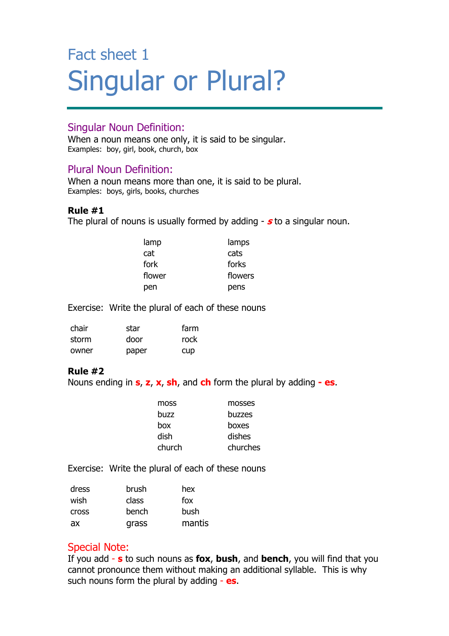# Fact sheet 1 Singular or Plural?

#### Singular Noun Definition:

When a noun means one only, it is said to be singular. Examples: boy, girl, book, church, box

#### Plural Noun Definition:

When a noun means more than one, it is said to be plural. Examples: boys, girls, books, churches

#### **Rule #1**

The plural of nouns is usually formed by adding - **s** to a singular noun.

| lamp   | lamps   |
|--------|---------|
| cat    | cats    |
| fork   | forks   |
| flower | flowers |
| pen    | pens    |

Exercise: Write the plural of each of these nouns

| chair | star  | farm |
|-------|-------|------|
| storm | door  | rock |
| owner | paper | cup  |

#### **Rule #2**

Nouns ending in **s**, **z**, **x**, **sh**, and **ch** form the plural by adding **- es**.

| moss   | mosses   |
|--------|----------|
| buzz   | buzzes   |
| hox    | boxes    |
| dish   | dishes   |
| church | churches |
|        |          |

Exercise: Write the plural of each of these nouns

| dress        | brush | hex    |
|--------------|-------|--------|
| wish         | class | fox    |
| <b>Cross</b> | bench | bush   |
| ax           | grass | mantis |

#### Special Note:

If you add - **s** to such nouns as **fox**, **bush**, and **bench**, you will find that you cannot pronounce them without making an additional syllable. This is why such nouns form the plural by adding - **es**.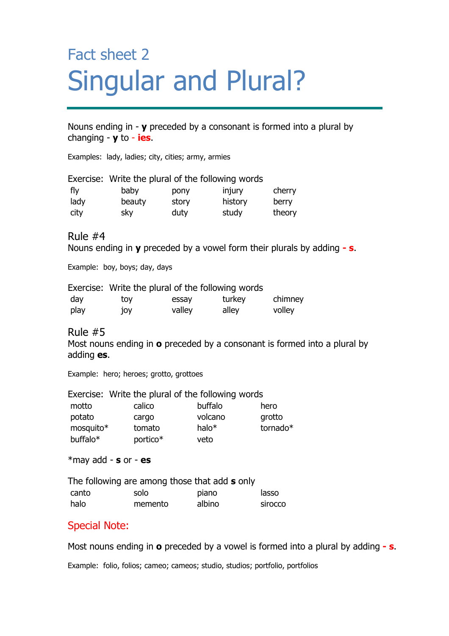# Fact sheet 2 Singular and Plural?

Nouns ending in - **y** preceded by a consonant is formed into a plural by changing - **y** to - **ies**.

Examples: lady, ladies; city, cities; army, armies

|      |        |       | Exercise: Write the plural of the following words |        |
|------|--------|-------|---------------------------------------------------|--------|
| fly  | baby   | pony  | injury                                            | cherry |
| lady | beauty | story | history                                           | berry  |
| city | sky    | duty  | study                                             | theory |

#### Rule #4

Nouns ending in **y** preceded by a vowel form their plurals by adding **- s**.

Example: boy, boys; day, days

|      |     | Exercise: Write the plural of the following words |        |         |
|------|-----|---------------------------------------------------|--------|---------|
| day  | tov | essay                                             | turkey | chimney |
| play | јоу | valley                                            | alley  | volley  |

Rule #5

Most nouns ending in **o** preceded by a consonant is formed into a plural by adding **es**.

Example: hero; heroes; grotto, grottoes

|           | Exercise: Write the plural of the following words |          |          |
|-----------|---------------------------------------------------|----------|----------|
| motto     | calico                                            | buffalo  | hero     |
| potato    | cargo                                             | volcano  | grotto   |
| mosquito* | tomato                                            | halo $*$ | tornado* |
| buffalo*  | portico*                                          | veto     |          |

\*may add - **s** or - **es**

| The following are among those that add <b>s</b> only |         |        |         |
|------------------------------------------------------|---------|--------|---------|
| canto                                                | solo    | piano  | lasso   |
| halo                                                 | memento | albino | sirocco |

#### Special Note:

Most nouns ending in **o** preceded by a vowel is formed into a plural by adding **- s**.

Example: folio, folios; cameo; cameos; studio, studios; portfolio, portfolios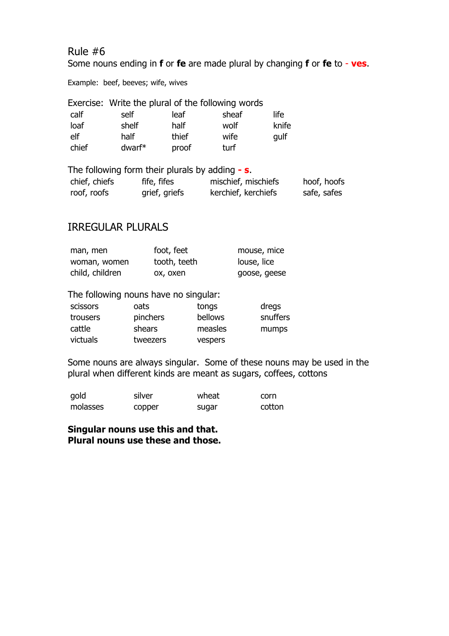#### Rule #6

Some nouns ending in **f** or **fe** are made plural by changing **f** or **fe** to - **ves**.

Example: beef, beeves; wife, wives

|       |        |       | Exercise: Write the plural of the following words |       |
|-------|--------|-------|---------------------------------------------------|-------|
| calf  | self   | leaf  | sheaf                                             | life  |
| loaf  | shelf  | half  | wolf                                              | knife |
| elf   | half   | thief | wife                                              | qulf  |
| chief | dwarf* | proof | turf                                              |       |

| The following form their plurals by adding $-$ s. |               |                     |             |
|---------------------------------------------------|---------------|---------------------|-------------|
| chief, chiefs                                     | fife, fifes   | mischief, mischiefs | hoof, hoofs |
| roof, roofs                                       | grief, griefs | kerchief, kerchiefs | safe, safes |

#### IRREGULAR PLURALS

| man, men        | foot, feet   | mouse, mice  |
|-----------------|--------------|--------------|
| woman, women    | tooth, teeth | louse, lice  |
| child, children | ox, oxen     | goose, geese |

The following nouns have no singular:

| scissors | oats     | tongs   | dregs    |
|----------|----------|---------|----------|
| trousers | pinchers | bellows | snuffers |
| cattle   | shears   | measles | mumps    |
| victuals | tweezers | vespers |          |

Some nouns are always singular. Some of these nouns may be used in the plural when different kinds are meant as sugars, coffees, cottons

| gold     | silver | wheat | corn   |
|----------|--------|-------|--------|
| molasses | copper | sugar | cotton |

**Singular nouns use this and that. Plural nouns use these and those.**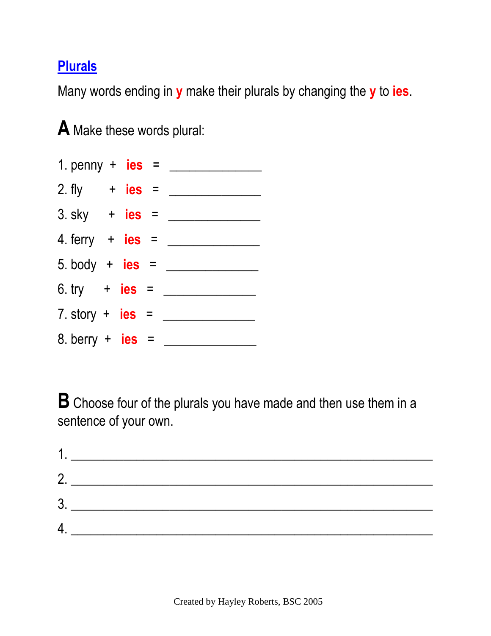### **Plurals**

Many words ending in **y** make their plurals by changing the **y** to **ies**.

**A** Make these words plural:



**B** Choose four of the plurals you have made and then use them in a sentence of your own.

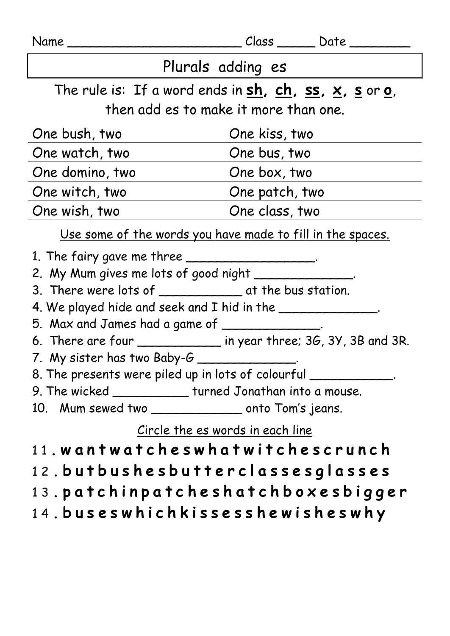| $Name \_\_$                                                                                                                    |                                                                    |  |  |
|--------------------------------------------------------------------------------------------------------------------------------|--------------------------------------------------------------------|--|--|
| Plurals adding es                                                                                                              |                                                                    |  |  |
| The rule is: If a word ends in $sh$ , $ch$ , $ss$ , $\times$ , $s$ or $o$ ,<br>then add es to make it more than one.           |                                                                    |  |  |
|                                                                                                                                |                                                                    |  |  |
| One bush, two                                                                                                                  | One kiss, two                                                      |  |  |
| One watch, two                                                                                                                 | One bus, two                                                       |  |  |
| One domino, two                                                                                                                | One box, two                                                       |  |  |
| One witch, two                                                                                                                 | One patch, two                                                     |  |  |
| One wish, two                                                                                                                  | One class, two                                                     |  |  |
|                                                                                                                                | Use some of the words you have made to fill in the spaces.         |  |  |
| 1. The fairy gave me three ______________________.<br>2. My Mum gives me lots of good night ______________.                    |                                                                    |  |  |
| 3. There were lots of ____________________ at the bus station.<br>4. We played hide and seek and I hid in the _______________. |                                                                    |  |  |
| 5. Max and James had a game of _______________.                                                                                |                                                                    |  |  |
|                                                                                                                                | 6. There are four ______________ in year three; 36, 3Y, 3B and 3R. |  |  |
| 7. My sister has two Baby-G _______                                                                                            |                                                                    |  |  |
| 8. The presents were piled up in lots of colourful _____________.                                                              |                                                                    |  |  |
| 9. The wicked _____________ turned Jonathan into a mouse.                                                                      |                                                                    |  |  |
| 10. Mum sewed two ____________________ onto Tom's jeans.                                                                       |                                                                    |  |  |
| <u>Circle the es words in each line</u>                                                                                        |                                                                    |  |  |
| 11. wantwatcheswhatwitchescrunch                                                                                               |                                                                    |  |  |
| 12. butbushesbutterclassesglasses                                                                                              |                                                                    |  |  |
|                                                                                                                                |                                                                    |  |  |
| 13.patchinpatcheshatchboxesbigger                                                                                              |                                                                    |  |  |
| 14. buseswhichkissesshewisheswhy                                                                                               |                                                                    |  |  |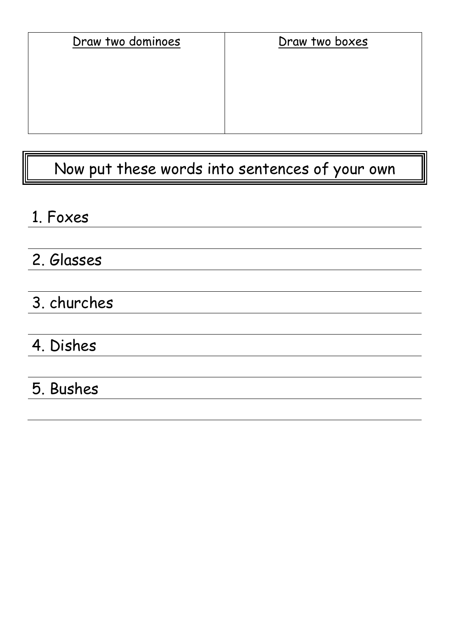| Draw two dominoes | Draw two boxes |  |  |
|-------------------|----------------|--|--|
|                   |                |  |  |
|                   |                |  |  |
|                   |                |  |  |

# Now put these words into sentences of your own

## 1. Foxes

## 2. Glasses

## 3. churches

# 4. Dishes

# 5. Bushes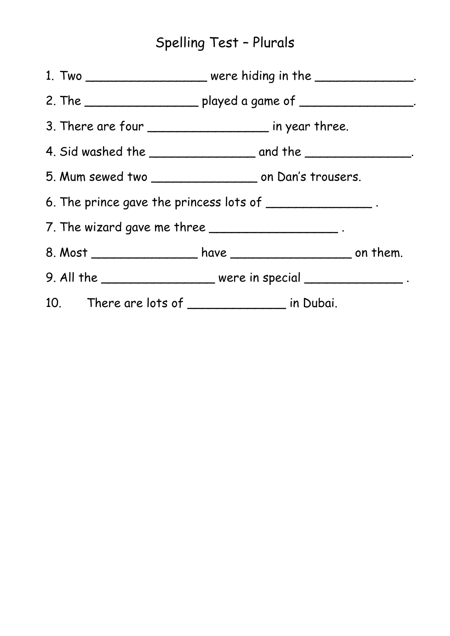# Spelling Test – Plurals

|                                                           | 1. Two _____________________ were hiding in the _________________.      |  |  |  |
|-----------------------------------------------------------|-------------------------------------------------------------------------|--|--|--|
|                                                           | 2. The _________________________ played a game of ____________________. |  |  |  |
|                                                           | 3. There are four ___________________ in year three.                    |  |  |  |
|                                                           |                                                                         |  |  |  |
|                                                           | 5. Mum sewed two _______________________ on Dan's trousers.             |  |  |  |
| 6. The prince gave the princess lots of ________________. |                                                                         |  |  |  |
| 7. The wizard gave me three _____________________.        |                                                                         |  |  |  |
|                                                           |                                                                         |  |  |  |
|                                                           | 9. All the ____________________ were in special ________________.       |  |  |  |
|                                                           | 10. There are lots of _____________________ in Dubai.                   |  |  |  |